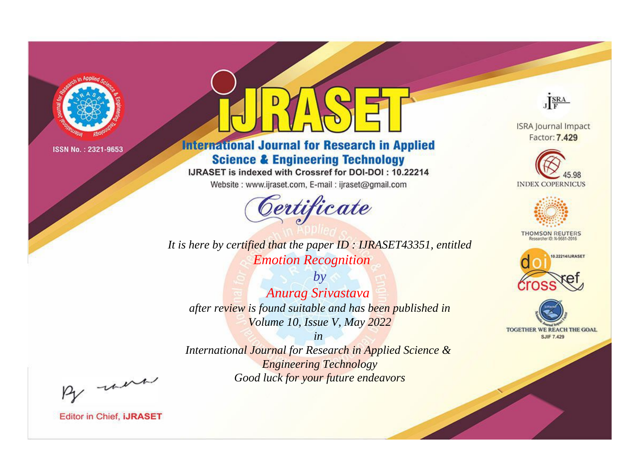

# **International Journal for Research in Applied Science & Engineering Technology**

IJRASET is indexed with Crossref for DOI-DOI: 10.22214

Website: www.ijraset.com, E-mail: ijraset@gmail.com



**ISRA Journal Impact** Factor: 7.429

JERA





**THOMSON REUTERS** 



TOGETHER WE REACH THE GOAL **SJIF 7.429** 

*It is here by certified that the paper ID : IJRASET43351, entitled Emotion Recognition*

*by Anurag Srivastava after review is found suitable and has been published in Volume 10, Issue V, May 2022*

*in* 

*International Journal for Research in Applied Science & Engineering Technology Good luck for your future endeavors*

By morn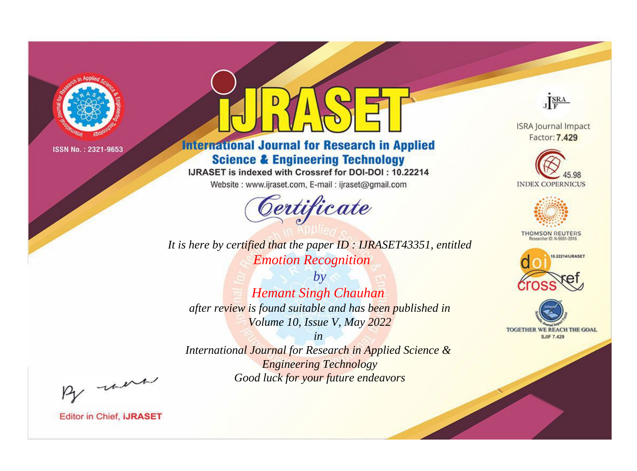

# **International Journal for Research in Applied Science & Engineering Technology**

IJRASET is indexed with Crossref for DOI-DOI: 10.22214

Website: www.ijraset.com, E-mail: ijraset@gmail.com



**ISRA Journal Impact** 

JERA

Factor: 7.429





**THOMSON REUTERS** 



TOGETHER WE REACH THE GOAL **SJIF 7.429** 

*It is here by certified that the paper ID : IJRASET43351, entitled Emotion Recognition*

*by Hemant Singh Chauhan after review is found suitable and has been published in Volume 10, Issue V, May 2022*

*in* 

*International Journal for Research in Applied Science & Engineering Technology Good luck for your future endeavors*

By morn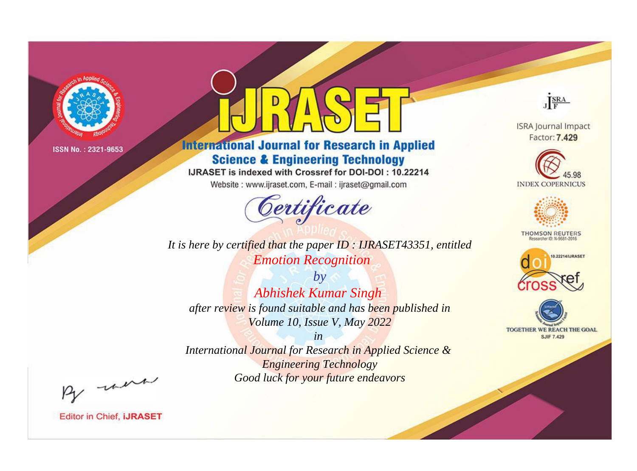

# **International Journal for Research in Applied Science & Engineering Technology**

IJRASET is indexed with Crossref for DOI-DOI: 10.22214

Website: www.ijraset.com, E-mail: ijraset@gmail.com



JERA

**ISRA Journal Impact** Factor: 7.429





**THOMSON REUTERS** 



TOGETHER WE REACH THE GOAL **SJIF 7.429** 

*It is here by certified that the paper ID : IJRASET43351, entitled Emotion Recognition*

*by Abhishek Kumar Singh after review is found suitable and has been published in Volume 10, Issue V, May 2022*

*in* 

*International Journal for Research in Applied Science & Engineering Technology Good luck for your future endeavors*

By morn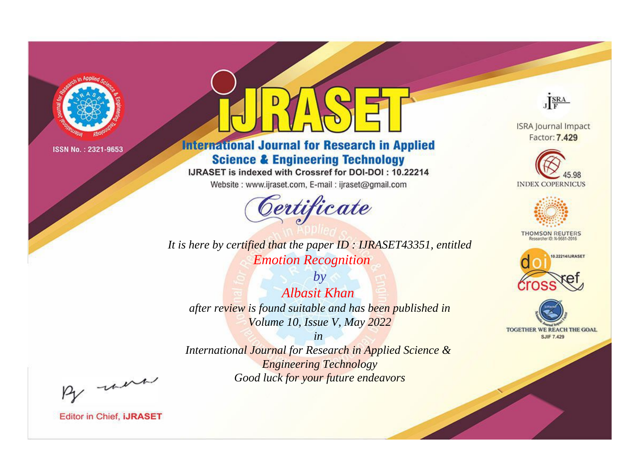

# **International Journal for Research in Applied Science & Engineering Technology**

IJRASET is indexed with Crossref for DOI-DOI: 10.22214

Website: www.ijraset.com, E-mail: ijraset@gmail.com



*It is here by certified that the paper ID : IJRASET43351, entitled Emotion Recognition*

*by Albasit Khan after review is found suitable and has been published in Volume 10, Issue V, May 2022*

*in International Journal for Research in Applied Science & Engineering Technology Good luck for your future endeavors*



**ISRA Journal Impact** Factor: 7.429





**THOMSON REUTERS** 





By morn